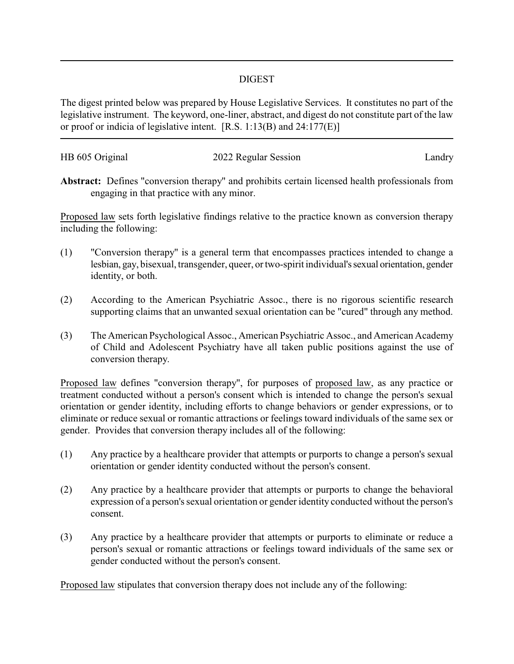## DIGEST

The digest printed below was prepared by House Legislative Services. It constitutes no part of the legislative instrument. The keyword, one-liner, abstract, and digest do not constitute part of the law or proof or indicia of legislative intent. [R.S. 1:13(B) and 24:177(E)]

| HB 605 Original | 2022 Regular Session | Landry |
|-----------------|----------------------|--------|
|                 |                      |        |

**Abstract:** Defines "conversion therapy" and prohibits certain licensed health professionals from engaging in that practice with any minor.

Proposed law sets forth legislative findings relative to the practice known as conversion therapy including the following:

- (1) "Conversion therapy" is a general term that encompasses practices intended to change a lesbian, gay, bisexual, transgender, queer, or two-spirit individual'ssexual orientation, gender identity, or both.
- (2) According to the American Psychiatric Assoc., there is no rigorous scientific research supporting claims that an unwanted sexual orientation can be "cured" through any method.
- (3) The American Psychological Assoc., American Psychiatric Assoc., and American Academy of Child and Adolescent Psychiatry have all taken public positions against the use of conversion therapy.

Proposed law defines "conversion therapy", for purposes of proposed law, as any practice or treatment conducted without a person's consent which is intended to change the person's sexual orientation or gender identity, including efforts to change behaviors or gender expressions, or to eliminate or reduce sexual or romantic attractions or feelings toward individuals of the same sex or gender. Provides that conversion therapy includes all of the following:

- (1) Any practice by a healthcare provider that attempts or purports to change a person's sexual orientation or gender identity conducted without the person's consent.
- (2) Any practice by a healthcare provider that attempts or purports to change the behavioral expression of a person's sexual orientation or gender identity conducted without the person's consent.
- (3) Any practice by a healthcare provider that attempts or purports to eliminate or reduce a person's sexual or romantic attractions or feelings toward individuals of the same sex or gender conducted without the person's consent.

Proposed law stipulates that conversion therapy does not include any of the following: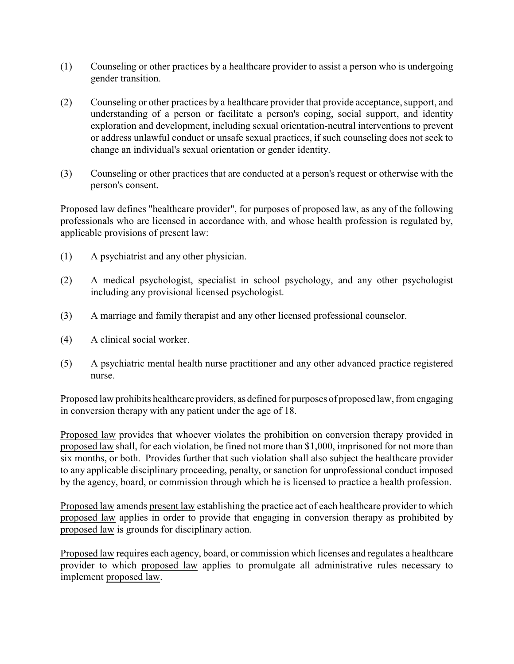- (1) Counseling or other practices by a healthcare provider to assist a person who is undergoing gender transition.
- (2) Counseling or other practices by a healthcare provider that provide acceptance, support, and understanding of a person or facilitate a person's coping, social support, and identity exploration and development, including sexual orientation-neutral interventions to prevent or address unlawful conduct or unsafe sexual practices, if such counseling does not seek to change an individual's sexual orientation or gender identity.
- (3) Counseling or other practices that are conducted at a person's request or otherwise with the person's consent.

Proposed law defines "healthcare provider", for purposes of proposed law, as any of the following professionals who are licensed in accordance with, and whose health profession is regulated by, applicable provisions of present law:

- (1) A psychiatrist and any other physician.
- (2) A medical psychologist, specialist in school psychology, and any other psychologist including any provisional licensed psychologist.
- (3) A marriage and family therapist and any other licensed professional counselor.
- (4) A clinical social worker.
- (5) A psychiatric mental health nurse practitioner and any other advanced practice registered nurse.

Proposed law prohibits healthcare providers, as defined for purposes of proposed law, from engaging in conversion therapy with any patient under the age of 18.

Proposed law provides that whoever violates the prohibition on conversion therapy provided in proposed law shall, for each violation, be fined not more than \$1,000, imprisoned for not more than six months, or both. Provides further that such violation shall also subject the healthcare provider to any applicable disciplinary proceeding, penalty, or sanction for unprofessional conduct imposed by the agency, board, or commission through which he is licensed to practice a health profession.

Proposed law amends present law establishing the practice act of each healthcare provider to which proposed law applies in order to provide that engaging in conversion therapy as prohibited by proposed law is grounds for disciplinary action.

Proposed law requires each agency, board, or commission which licenses and regulates a healthcare provider to which proposed law applies to promulgate all administrative rules necessary to implement proposed law.